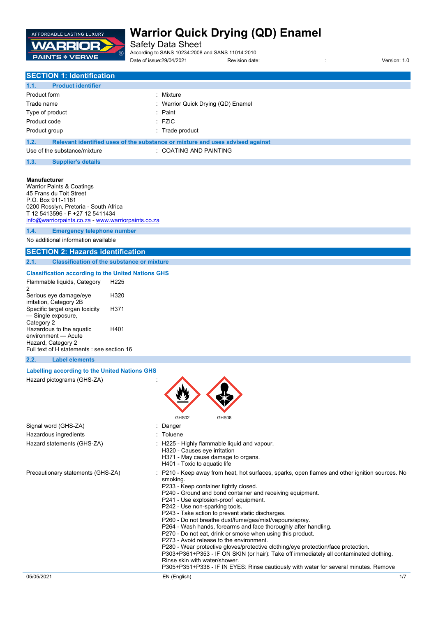

Safety Data Sheet

According to SANS 10234:2008 and SANS 11014:2010 Date of issue:29/04/2021 Revision date: in the state of issue:29/04/2021 Revision date: in the state of issue: 1.0

## **SECTION 1: Identification**

| 1.1.<br><b>Product identifier</b> |                                                                               |
|-----------------------------------|-------------------------------------------------------------------------------|
| Product form                      | : Mixture                                                                     |
| Trade name                        | : Warrior Quick Drying (QD) Enamel                                            |
| Type of product                   | : Paint                                                                       |
| Product code                      | $\pm$ FZIC                                                                    |
| Product group                     | : Trade product                                                               |
| 1.2.                              | Relevant identified uses of the substance or mixture and uses advised against |

| <b>COATING AND PAINTING</b><br>Use of the substance/mixture |
|-------------------------------------------------------------|
|-------------------------------------------------------------|

#### **1.3. Supplier's details**

#### **Manufacturer**

Warrior Paints & Coatings 45 Frans du Toit Street P.O. Box 911-1181 0200 Rosslyn, Pretoria - South Africa T 12 5413596 - F +27 12 5411434 [info@warriorpaints.co.za](mailto:info@warriorpaints.co.za) - <www.warriorpaints.co.za> **1.4. Emergency telephone number**

No additional information available

## **SECTION 2: Hazards identification**

**2.1. Classification of the substance or mixture**

#### **Classification according to the United Nations GHS**

| Flammable liquids, Category<br>2                                 | H225 |
|------------------------------------------------------------------|------|
| Serious eye damage/eye<br>irritation, Category 2B                | H320 |
| Specific target organ toxicity<br>- Single exposure,             | H371 |
| Category 2<br>Hazardous to the aquatic<br>environment - Acute    | H401 |
| Hazard, Category 2<br>Full text of H statements : see section 16 |      |

### **2.2. Label elements**

#### **Labelling according to the United Nations GHS**

Hazard pictograms (GHS-ZA) :



| Signal word (GHS-ZA)              | : Danger                                                                                                                                                                                                                                                                                                                                                                                                                                                                                                                                                                                                                                                                                                                                                                                                                                                                                        |
|-----------------------------------|-------------------------------------------------------------------------------------------------------------------------------------------------------------------------------------------------------------------------------------------------------------------------------------------------------------------------------------------------------------------------------------------------------------------------------------------------------------------------------------------------------------------------------------------------------------------------------------------------------------------------------------------------------------------------------------------------------------------------------------------------------------------------------------------------------------------------------------------------------------------------------------------------|
| Hazardous ingredients             | $:$ Toluene                                                                                                                                                                                                                                                                                                                                                                                                                                                                                                                                                                                                                                                                                                                                                                                                                                                                                     |
| Hazard statements (GHS-ZA)        | : H225 - Highly flammable liquid and vapour.<br>H320 - Causes eye irritation<br>H371 - May cause damage to organs.<br>H401 - Toxic to aguatic life                                                                                                                                                                                                                                                                                                                                                                                                                                                                                                                                                                                                                                                                                                                                              |
| Precautionary statements (GHS-ZA) | : P210 - Keep away from heat, hot surfaces, sparks, open flames and other ignition sources. No<br>smoking.<br>P233 - Keep container tightly closed.<br>P240 - Ground and bond container and receiving equipment.<br>P241 - Use explosion-proof equipment.<br>P242 - Use non-sparking tools.<br>P243 - Take action to prevent static discharges.<br>P260 - Do not breathe dust/fume/gas/mist/vapours/spray.<br>P264 - Wash hands, forearms and face thoroughly after handling.<br>P270 - Do not eat, drink or smoke when using this product.<br>P273 - Avoid release to the environment.<br>P280 - Wear protective gloves/protective clothing/eye protection/face protection.<br>P303+P361+P353 - IF ON SKIN (or hair): Take off immediately all contaminated clothing.<br>Rinse skin with water/shower.<br>P305+P351+P338 - IF IN EYES: Rinse cautiously with water for several minutes. Remove |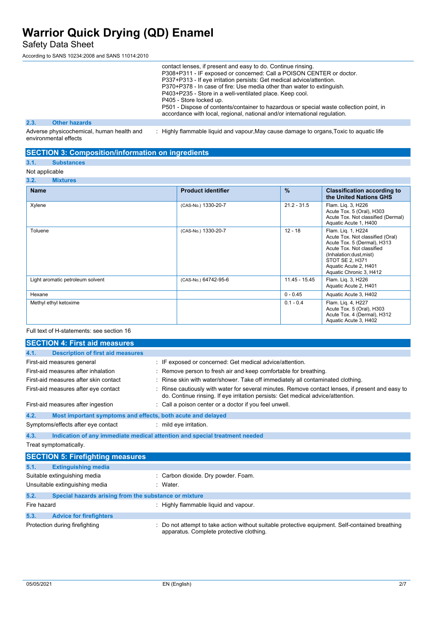Safety Data Sheet

According to SANS 10234:2008 and SANS 11014:2010

|      |                      |  | contact lenses, if present and easy to do. Continue rinsing.<br>P308+P311 - IF exposed or concerned: Call a POISON CENTER or doctor.<br>P337+P313 - If eye irritation persists: Get medical advice/attention.<br>P370+P378 - In case of fire: Use media other than water to extinguish.<br>P403+P235 - Store in a well-ventilated place. Keep cool.<br>P405 - Store locked up.<br>P501 - Dispose of contents/container to hazardous or special waste collection point, in<br>accordance with local, regional, national and/or international regulation. |
|------|----------------------|--|---------------------------------------------------------------------------------------------------------------------------------------------------------------------------------------------------------------------------------------------------------------------------------------------------------------------------------------------------------------------------------------------------------------------------------------------------------------------------------------------------------------------------------------------------------|
| 2.3. | <b>Other hazards</b> |  |                                                                                                                                                                                                                                                                                                                                                                                                                                                                                                                                                         |
|      |                      |  |                                                                                                                                                                                                                                                                                                                                                                                                                                                                                                                                                         |

Adverse physicochemical, human health and environmental effects : Highly flammable liquid and vapour,May cause damage to organs,Toxic to aquatic life

## **SECTION 3: Composition/information on ingredients**

## **3.1. Substances**

## Not applicable

### **3.2. Mixtures**

| <b>Name</b>                      | <b>Product identifier</b> | $\frac{9}{6}$ | <b>Classification according to</b><br>the United Nations GHS                                                                                                                                                        |
|----------------------------------|---------------------------|---------------|---------------------------------------------------------------------------------------------------------------------------------------------------------------------------------------------------------------------|
| Xylene                           | (CAS-No.) 1330-20-7       | $21.2 - 31.5$ | Flam. Liq. 3, H226<br>Acute Tox. 5 (Oral), H303<br>Acute Tox. Not classified (Dermal)<br>Aquatic Acute 1, H400                                                                                                      |
| Toluene                          | (CAS-No.) 1330-20-7       | $12 - 18$     | Flam. Lig. 1, H224<br>Acute Tox. Not classified (Oral)<br>Acute Tox. 5 (Dermal), H313<br>Acute Tox, Not classified<br>(Inhalation:dust,mist)<br>STOT SE 2. H371<br>Aquatic Acute 2, H401<br>Aquatic Chronic 3, H412 |
| Light aromatic petroleum solvent | (CAS-No.) 64742-95-6      | 11.45 - 15.45 | Flam. Lig. 3, H226<br>Aquatic Acute 2, H401                                                                                                                                                                         |
| Hexane                           |                           | $0 - 0.45$    | Aquatic Acute 3, H402                                                                                                                                                                                               |
| Methyl ethyl ketoxime            |                           | $0.1 - 0.4$   | Flam. Lig. 4, H227<br>Acute Tox. 5 (Oral), H303<br>Acute Tox. 4 (Dermal), H312<br>Aquatic Acute 3, H402                                                                                                             |

#### Full text of H-statements: see section 16

|             | <b>SECTION 4: First aid measures</b>                                       |                                                                                                                                                                                   |
|-------------|----------------------------------------------------------------------------|-----------------------------------------------------------------------------------------------------------------------------------------------------------------------------------|
| 4.1.        | <b>Description of first aid measures</b>                                   |                                                                                                                                                                                   |
|             | First-aid measures general                                                 | : IF exposed or concerned: Get medical advice/attention.                                                                                                                          |
|             | First-aid measures after inhalation                                        | Remove person to fresh air and keep comfortable for breathing.                                                                                                                    |
|             | First-aid measures after skin contact                                      | Rinse skin with water/shower. Take off immediately all contaminated clothing.                                                                                                     |
|             | First-aid measures after eye contact                                       | Rinse cautiously with water for several minutes. Remove contact lenses, if present and easy to<br>do. Continue rinsing. If eye irritation persists: Get medical advice/attention. |
|             | First-aid measures after ingestion                                         | : Call a poison center or a doctor if you feel unwell.                                                                                                                            |
| 4.2.        | Most important symptoms and effects, both acute and delayed                |                                                                                                                                                                                   |
|             | Symptoms/effects after eye contact                                         | : mild eye irritation.                                                                                                                                                            |
| 4.3.        | Indication of any immediate medical attention and special treatment needed |                                                                                                                                                                                   |
|             | Treat symptomatically.                                                     |                                                                                                                                                                                   |
|             | <b>SECTION 5: Firefighting measures</b>                                    |                                                                                                                                                                                   |
| 5.1.        | <b>Extinguishing media</b>                                                 |                                                                                                                                                                                   |
|             | Suitable extinguishing media                                               | : Carbon dioxide. Dry powder. Foam.                                                                                                                                               |
|             | Unsuitable extinguishing media                                             | : Water.                                                                                                                                                                          |
| 5.2.        | Special hazards arising from the substance or mixture                      |                                                                                                                                                                                   |
| Fire hazard |                                                                            | : Highly flammable liquid and vapour.                                                                                                                                             |
| 5.3.        | <b>Advice for firefighters</b>                                             |                                                                                                                                                                                   |
|             | Protection during firefighting                                             | : Do not attempt to take action without suitable protective equipment. Self-contained breathing                                                                                   |

apparatus. Complete protective clothing.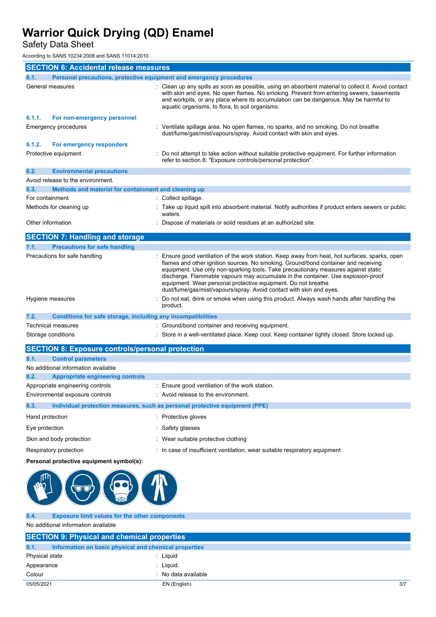Safety Data Sheet

According to SANS 10234:2008 and SANS 11014:2010

|                   | <b>SECTION 6: Accidental release measures</b>                       |  |                                                                                                                                                                                                                                                                                                                                                                                                                                                                                                       |
|-------------------|---------------------------------------------------------------------|--|-------------------------------------------------------------------------------------------------------------------------------------------------------------------------------------------------------------------------------------------------------------------------------------------------------------------------------------------------------------------------------------------------------------------------------------------------------------------------------------------------------|
| 6.1.              | Personal precautions, protective equipment and emergency procedures |  |                                                                                                                                                                                                                                                                                                                                                                                                                                                                                                       |
|                   | General measures                                                    |  | : Clean up any spills as soon as possible, using an absorbent material to collect it. Avoid contact<br>with skin and eyes. No open flames. No smoking. Prevent from entering sewers, basements<br>and workpits, or any place where its accumulation can be dangerous. May be harmful to<br>aquatic organisms, to flora, to soil organisms.                                                                                                                                                            |
| 6.1.1.            | For non-emergency personnel                                         |  |                                                                                                                                                                                                                                                                                                                                                                                                                                                                                                       |
|                   | <b>Emergency procedures</b>                                         |  | Ventilate spillage area. No open flames, no sparks, and no smoking. Do not breathe<br>dust/fume/gas/mist/vapours/spray. Avoid contact with skin and eyes.                                                                                                                                                                                                                                                                                                                                             |
| 6.1.2.            | For emergency responders                                            |  |                                                                                                                                                                                                                                                                                                                                                                                                                                                                                                       |
|                   | Protective equipment                                                |  | Do not attempt to take action without suitable protective equipment. For further information<br>refer to section 8. "Exposure controls/personal protection".                                                                                                                                                                                                                                                                                                                                          |
| 6.2.              | <b>Environmental precautions</b>                                    |  |                                                                                                                                                                                                                                                                                                                                                                                                                                                                                                       |
|                   | Avoid release to the environment.                                   |  |                                                                                                                                                                                                                                                                                                                                                                                                                                                                                                       |
| 6.3.              | Methods and material for containment and cleaning up                |  |                                                                                                                                                                                                                                                                                                                                                                                                                                                                                                       |
| For containment   |                                                                     |  | : Collect spillage.                                                                                                                                                                                                                                                                                                                                                                                                                                                                                   |
|                   | Methods for cleaning up                                             |  | Take up liquid spill into absorbent material. Notify authorities if product enters sewers or public<br>waters.                                                                                                                                                                                                                                                                                                                                                                                        |
| Other information |                                                                     |  | Dispose of materials or solid residues at an authorized site.                                                                                                                                                                                                                                                                                                                                                                                                                                         |
|                   | <b>SECTION 7: Handling and storage</b>                              |  |                                                                                                                                                                                                                                                                                                                                                                                                                                                                                                       |
| 7.1.              | <b>Precautions for safe handling</b>                                |  |                                                                                                                                                                                                                                                                                                                                                                                                                                                                                                       |
|                   | Precautions for safe handling                                       |  | Ensure good ventilation of the work station. Keep away from heat, hot surfaces, sparks, open<br>flames and other ignition sources. No smoking. Ground/bond container and receiving<br>equipment. Use only non-sparking tools. Take precautionary measures against static<br>discharge. Flammable vapours may accumulate in the container. Use explosion-proof<br>equipment. Wear personal protective equipment. Do not breathe<br>dust/fume/gas/mist/vapours/spray. Avoid contact with skin and eyes. |
|                   | Hygiene measures                                                    |  | Do not eat, drink or smoke when using this product. Always wash hands after handling the<br>product.                                                                                                                                                                                                                                                                                                                                                                                                  |
| 7.2.              | Conditions for safe storage, including any incompatibilities        |  |                                                                                                                                                                                                                                                                                                                                                                                                                                                                                                       |
|                   | <b>Technical measures</b>                                           |  | : Ground/bond container and receiving equipment.                                                                                                                                                                                                                                                                                                                                                                                                                                                      |
|                   | Storage conditions                                                  |  | : Store in a well-ventilated place. Keep cool. Keep container tightly closed. Store locked up.                                                                                                                                                                                                                                                                                                                                                                                                        |

| <b>SECTION 8: Exposure controls/personal protection</b> |                                                                             |
|---------------------------------------------------------|-----------------------------------------------------------------------------|
| 8.1.<br><b>Control parameters</b>                       |                                                                             |
| No additional information available                     |                                                                             |
| 8.2.<br><b>Appropriate engineering controls</b>         |                                                                             |
| Appropriate engineering controls                        | : Ensure good ventilation of the work station.                              |
| Environmental exposure controls                         | : Avoid release to the environment.                                         |
| 8.3.                                                    | Individual protection measures, such as personal protective equipment (PPE) |
| Hand protection                                         | Protective gloves<br>÷.                                                     |
| Eye protection                                          | : Safety glasses                                                            |
| Skin and body protection                                | : Wear suitable protective clothing                                         |
| Respiratory protection                                  | : In case of insufficient ventilation, wear suitable respiratory equipment  |
|                                                         |                                                                             |

## **Personal protective equipment symbol(s):**



**8.4. Exposure limit values for the other components** No additional information available

| <b>SECTION 9: Physical and chemical properties</b>            |                     |     |
|---------------------------------------------------------------|---------------------|-----|
| 9.1.<br>Information on basic physical and chemical properties |                     |     |
| Physical state                                                | : Liauid            |     |
| Appearance                                                    | : Liauid.           |     |
| Colour                                                        | : No data available |     |
| 05/05/2021                                                    | EN (English)        | 3/7 |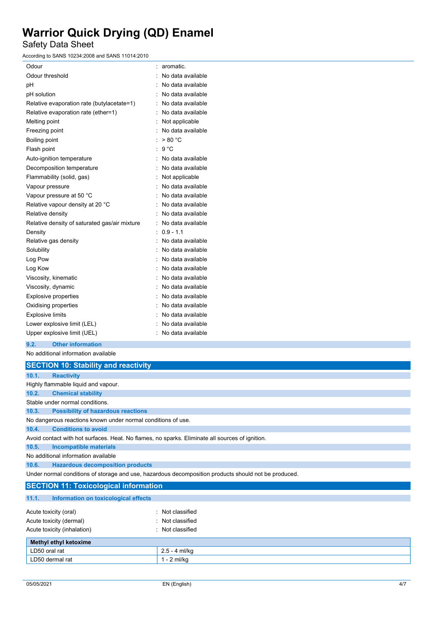Safety Data Sheet

According to SANS 10234:2008 and SANS 11014:2010

| Odour                                         | aromatic.         |
|-----------------------------------------------|-------------------|
| Odour threshold                               | No data available |
| рH                                            | No data available |
| pH solution                                   | No data available |
| Relative evaporation rate (butylacetate=1)    | No data available |
| Relative evaporation rate (ether=1)           | No data available |
| Melting point                                 | Not applicable    |
| Freezing point                                | No data available |
| Boiling point                                 | > 80 °C           |
| Flash point                                   | $9^{\circ}$ C     |
| Auto-ignition temperature                     | No data available |
| Decomposition temperature                     | No data available |
| Flammability (solid, gas)                     | Not applicable    |
| Vapour pressure                               | No data available |
| Vapour pressure at 50 °C                      | No data available |
| Relative vapour density at 20 °C              | No data available |
| Relative density                              | No data available |
| Relative density of saturated gas/air mixture | No data available |
| Density                                       | $0.9 - 1.1$       |
| Relative gas density                          | No data available |
| Solubility                                    | No data available |
| Log Pow                                       | No data available |
| Log Kow                                       | No data available |
| Viscosity, kinematic                          | No data available |
| Viscosity, dynamic                            | No data available |
| <b>Explosive properties</b>                   | No data available |
| Oxidising properties                          | No data available |
| <b>Explosive limits</b>                       | No data available |
| Lower explosive limit (LEL)                   | No data available |
| Upper explosive limit (UEL)                   | No data available |

### **9.2. Other information**

No additional information available

|       | <b>SECTION 10: Stability and reactivity</b>                                                          |
|-------|------------------------------------------------------------------------------------------------------|
| 10.1. | <b>Reactivity</b>                                                                                    |
|       | Highly flammable liquid and vapour.                                                                  |
| 10.2. | <b>Chemical stability</b>                                                                            |
|       | Stable under normal conditions.                                                                      |
| 10.3. | <b>Possibility of hazardous reactions</b>                                                            |
|       | No dangerous reactions known under normal conditions of use.                                         |
| 10.4. | <b>Conditions to avoid</b>                                                                           |
|       | Avoid contact with hot surfaces. Heat. No flames, no sparks. Eliminate all sources of ignition.      |
| 10.5. | <b>Incompatible materials</b>                                                                        |
|       | No additional information available                                                                  |
| 10.6. | <b>Hazardous decomposition products</b>                                                              |
|       | Under normal conditions of storage and use, hazardous decomposition products should not be produced. |

### **SECTION 11: Toxicological information**

| 11.1.                       | Information on toxicological effects |                  |
|-----------------------------|--------------------------------------|------------------|
|                             |                                      |                  |
| Acute toxicity (oral)       |                                      | : Not classified |
| Acute toxicity (dermal)     |                                      | : Not classified |
| Acute toxicity (inhalation) |                                      | : Not classified |
|                             | Methyl ethyl ketoxime                |                  |
| LD50 oral rat               |                                      | $2.5 - 4$ ml/kg  |
| LD50 dermal rat             |                                      | $1 - 2$ ml/kg    |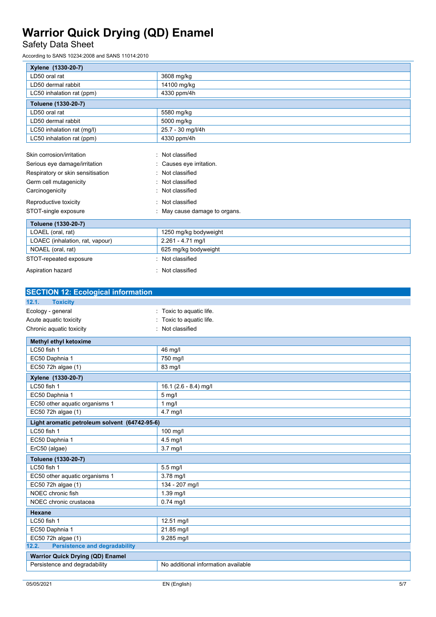## Safety Data Sheet

According to SANS 10234:2008 and SANS 11014:2010

| Xylene (1330-20-7)                |                               |
|-----------------------------------|-------------------------------|
| LD50 oral rat                     | 3608 mg/kg                    |
| LD50 dermal rabbit                | 14100 mg/kg                   |
| LC50 inhalation rat (ppm)         | 4330 ppm/4h                   |
| Toluene (1330-20-7)               |                               |
| LD50 oral rat                     | 5580 mg/kg                    |
| LD50 dermal rabbit                | 5000 mg/kg                    |
| LC50 inhalation rat (mg/l)        | 25.7 - 30 mg/l/4h             |
| LC50 inhalation rat (ppm)         | 4330 ppm/4h                   |
|                                   |                               |
| Skin corrosion/irritation         | Not classified                |
| Serious eye damage/irritation     | Causes eye irritation.        |
| Respiratory or skin sensitisation | Not classified                |
| Germ cell mutagenicity            | Not classified                |
| Carcinogenicity                   | : Not classified              |
| Reproductive toxicity             | : Not classified              |
| STOT-single exposure              | : May cause damage to organs. |
| Toluene (1330-20-7)               |                               |
| LOAEL (oral, rat)                 | 1250 mg/kg bodyweight         |
| LOAEC (inhalation, rat, vapour)   | 2.261 - 4.71 mg/l             |
| NOAEL (oral, rat)                 | 625 mg/kg bodyweight          |
| STOT-repeated exposure            | Not classified                |
| Aspiration hazard                 | Not classified                |

| <b>SECTION 12: Ecological information</b>     |                                     |  |
|-----------------------------------------------|-------------------------------------|--|
| 12.1.<br><b>Toxicity</b>                      |                                     |  |
| Ecology - general                             | Toxic to aquatic life.              |  |
| Acute aquatic toxicity                        | Toxic to aquatic life.              |  |
| Chronic aquatic toxicity                      | Not classified                      |  |
| Methyl ethyl ketoxime                         |                                     |  |
| LC50 fish 1                                   | 46 mg/l                             |  |
| EC50 Daphnia 1                                | 750 mg/l                            |  |
| EC50 72h algae (1)                            | 83 mg/l                             |  |
| Xylene (1330-20-7)                            |                                     |  |
| LC50 fish 1                                   | 16.1 $(2.6 - 8.4)$ mg/l             |  |
| EC50 Daphnia 1                                | $5$ mg/                             |  |
| EC50 other aquatic organisms 1                | $1$ mg/                             |  |
| EC50 72h algae (1)                            | 4.7 mg/l                            |  |
| Light aromatic petroleum solvent (64742-95-6) |                                     |  |
| LC50 fish 1                                   | 100 mg/l                            |  |
| EC50 Daphnia 1                                | 4.5 mg/l                            |  |
| ErC50 (algae)                                 | $3.7$ mg/l                          |  |
| Toluene (1330-20-7)                           |                                     |  |
| LC50 fish 1                                   | $5.5$ mg/l                          |  |
| EC50 other aquatic organisms 1                | 3.78 mg/l                           |  |
| EC50 72h algae (1)                            | 134 - 207 mg/l                      |  |
| NOEC chronic fish                             | 1.39 mg/l                           |  |
| NOEC chronic crustacea                        | $0.74$ mg/l                         |  |
| <b>Hexane</b>                                 |                                     |  |
| LC50 fish 1                                   | 12.51 mg/l                          |  |
| EC50 Daphnia 1                                | 21.85 mg/l                          |  |
| EC50 72h algae (1)                            | 9.285 mg/l                          |  |
| <b>Persistence and degradability</b><br>12.2. |                                     |  |
| <b>Warrior Quick Drying (QD) Enamel</b>       |                                     |  |
| Persistence and degradability                 | No additional information available |  |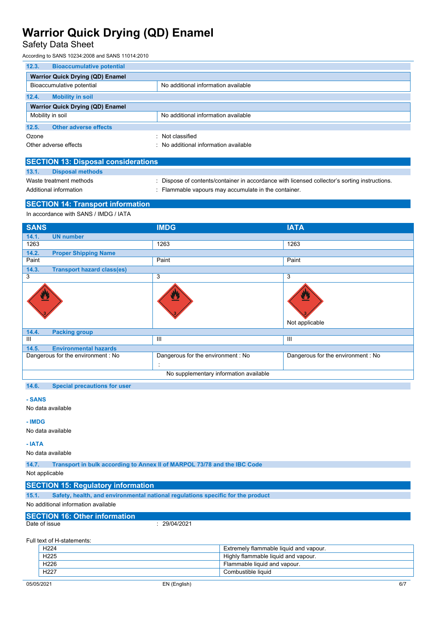## Safety Data Sheet

According to SANS 10234:2008 and SANS 11014:2010

| 12.3.                                   | <b>Bioaccumulative potential</b> |                                     |
|-----------------------------------------|----------------------------------|-------------------------------------|
| <b>Warrior Quick Drying (QD) Enamel</b> |                                  |                                     |
| Bioaccumulative potential               |                                  | No additional information available |
| 12.4.                                   | <b>Mobility in soil</b>          |                                     |
| <b>Warrior Quick Drying (QD) Enamel</b> |                                  |                                     |
| Mobility in soil                        |                                  | No additional information available |
| 12.5.                                   | <b>Other adverse effects</b>     |                                     |
| Ozone                                   |                                  | Not classified                      |
| Other adverse effects                   |                                  | No additional information available |

| <b>SECTION 13: Disposal considerations</b> |                         |                                                                                             |  |
|--------------------------------------------|-------------------------|---------------------------------------------------------------------------------------------|--|
| 13.1.                                      | <b>Disposal methods</b> |                                                                                             |  |
| Waste treatment methods                    |                         | Dispose of contents/container in accordance with licensed collector's sorting instructions. |  |
| Additional information                     |                         | : Flammable vapours may accumulate in the container.                                        |  |
|                                            |                         |                                                                                             |  |

### **SECTION 14: Transport information**

In accordance with SANS / IMDG / IATA

| <b>SANS</b>                                | <b>IMDG</b>                       | <b>IATA</b>                       |
|--------------------------------------------|-----------------------------------|-----------------------------------|
| 14.1.<br><b>UN number</b>                  |                                   |                                   |
| 1263                                       | 1263                              | 1263                              |
| 14.2.<br><b>Proper Shipping Name</b>       |                                   |                                   |
| Paint                                      | Paint                             | Paint                             |
| 14.3.<br><b>Transport hazard class(es)</b> |                                   |                                   |
| 3                                          | 3                                 | 3                                 |
| ፵                                          |                                   | 四<br>Not applicable               |
| 14.4.<br><b>Packing group</b>              |                                   |                                   |
| Ш                                          | Ш                                 | Ш                                 |
| 14.5.<br><b>Environmental hazards</b>      |                                   |                                   |
| Dangerous for the environment : No         | Dangerous for the environment: No | Dangerous for the environment: No |
|                                            | ÷                                 |                                   |
| No supplementary information available     |                                   |                                   |
|                                            |                                   |                                   |

**14.6. Special precautions for user**

#### **- SANS**

No data available

### **- IMDG**

No data available

#### **- IATA**

No data available

**14.7. Transport in bulk according to Annex II of MARPOL 73/78 and the IBC Code**

### Not applicable

### **SECTION 15: Regulatory information**

**15.1. Safety, health, and environmental national regulations specific for the product**

No additional information available

# **SECTION 16: Other information**

 $: 29/04/2021$ 

Full text of H-statements:

| H <sub>225</sub><br>Highly flammable liquid and vapour. |  |
|---------------------------------------------------------|--|
|                                                         |  |
| H <sub>226</sub><br>Flammable liquid and vapour.        |  |
| H <sub>227</sub><br>Combustible liquid                  |  |